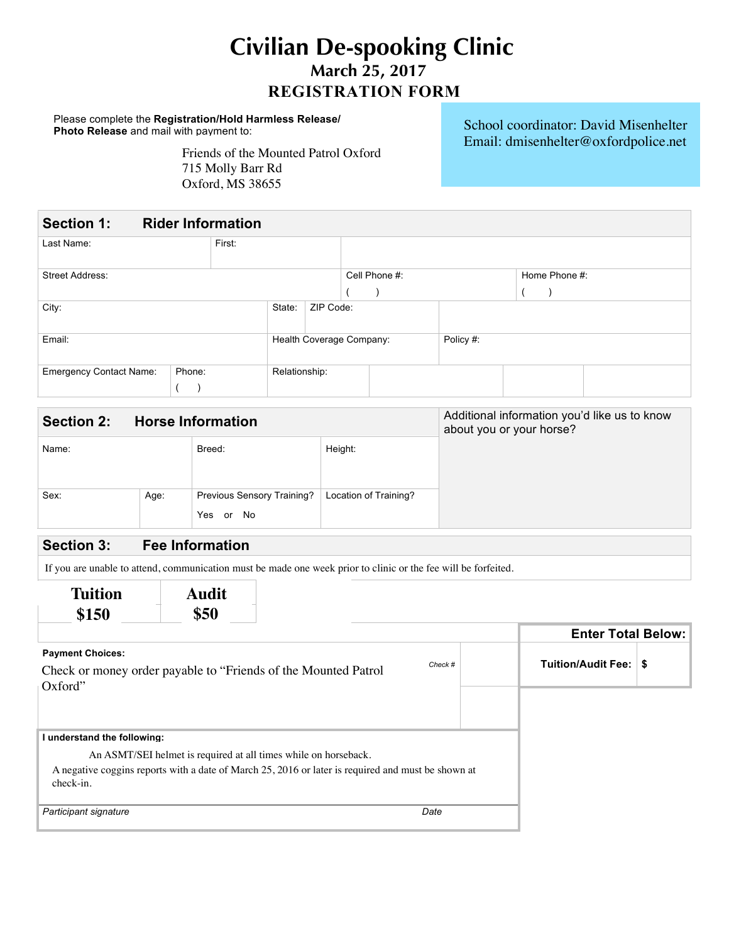## **Civilian De-spooking Clinic REGISTRATION FORM March 25, 2017**

Please complete the **Registration/Hold Harmless Release/ Photo Release** and mail with payment to:

> Friends of the Mounted Patrol Oxford 715 Molly Barr Rd Oxford, MS 38655

֦ Email: dmisenhelter@oxfordpolice.net School coordinator: David Misenhelter

| <b>Section 1:</b>              |        | <b>Rider Information</b> |                          |               |  |               |           |  |  |  |  |
|--------------------------------|--------|--------------------------|--------------------------|---------------|--|---------------|-----------|--|--|--|--|
| Last Name:                     |        | First:                   |                          |               |  |               |           |  |  |  |  |
| <b>Street Address:</b>         |        |                          |                          | Cell Phone #: |  | Home Phone #: |           |  |  |  |  |
|                                |        |                          |                          |               |  |               |           |  |  |  |  |
| City:                          |        |                          | State:                   | ZIP Code:     |  |               |           |  |  |  |  |
| Email:                         |        |                          | Health Coverage Company: |               |  |               | Policy #: |  |  |  |  |
| <b>Emergency Contact Name:</b> | Phone: |                          | Relationship:            |               |  |               |           |  |  |  |  |
|                                |        |                          |                          |               |  |               |           |  |  |  |  |

| <b>Section 2:</b> |      | <b>Horse Information</b>                |                       | Additional information you'd like us to know<br>about you or your horse? |
|-------------------|------|-----------------------------------------|-----------------------|--------------------------------------------------------------------------|
| Name:             |      | Breed:                                  | Height:               |                                                                          |
| Sex:              | Age: | Previous Sensory Training?<br>Yes or No | Location of Training? |                                                                          |
| $A - 1$ $A$       |      |                                         |                       |                                                                          |

| <b>Section 3:</b> | <b>Fee Information</b> |                                                                                                                |
|-------------------|------------------------|----------------------------------------------------------------------------------------------------------------|
|                   |                        | If you are unable to attend, communication must be made one week prior to clinic or the fee will be forfeited. |
| <b>Tuition</b>    | <b>Audit</b>           |                                                                                                                |

| \$150                                                                                                            | \$50                                                            |                                                                                                    |      |                           |  |  |
|------------------------------------------------------------------------------------------------------------------|-----------------------------------------------------------------|----------------------------------------------------------------------------------------------------|------|---------------------------|--|--|
|                                                                                                                  |                                                                 |                                                                                                    |      | <b>Enter Total Below:</b> |  |  |
| <b>Payment Choices:</b><br>Check #<br>Check or money order payable to "Friends of the Mounted Patrol"<br>Oxford" |                                                                 |                                                                                                    |      | Tuition/Audit Fee:   \$   |  |  |
| I understand the following:                                                                                      |                                                                 |                                                                                                    |      |                           |  |  |
|                                                                                                                  | An ASMT/SEI helmet is required at all times while on horseback. |                                                                                                    |      |                           |  |  |
| check-in.                                                                                                        |                                                                 | A negative coggins reports with a date of March 25, 2016 or later is required and must be shown at |      |                           |  |  |
| Participant signature                                                                                            |                                                                 |                                                                                                    | Date |                           |  |  |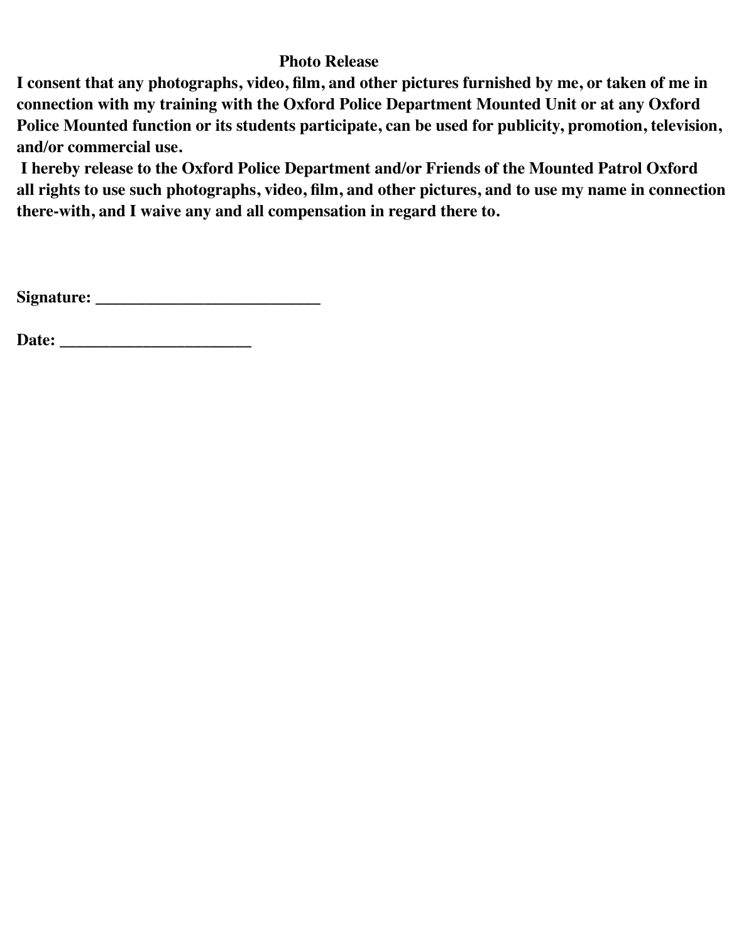## **Photo Release**

**I consent that any photographs, video, film, and other pictures furnished by me, or taken of me in connection with my training with the Oxford Police Department Mounted Unit or at any Oxford Police Mounted function or its students participate, can be used for publicity, promotion, television, and/or commercial use.**

 **I hereby release to the Oxford Police Department and/or Friends of the Mounted Patrol Oxford all rights to use such photographs, video, film, and other pictures, and to use my name in connection there-with, and I waive any and all compensation in regard there to.**

**Signature: \_\_\_\_\_\_\_\_\_\_\_\_\_\_\_\_\_\_\_\_\_\_\_\_\_\_\_**

**Date: \_\_\_\_\_\_\_\_\_\_\_\_\_\_\_\_\_\_\_\_\_\_\_**